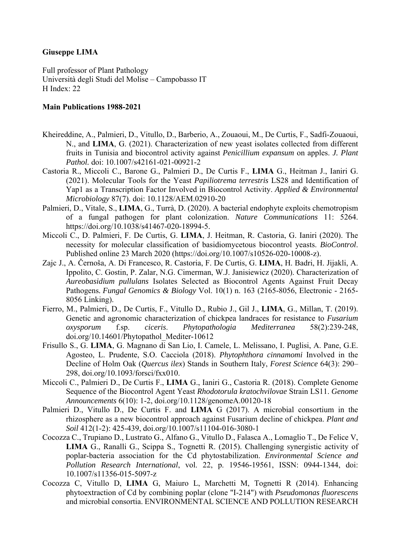## **Giuseppe LIMA**

Full professor of Plant Pathology Università degli Studi del Molise – Campobasso IT H Index: 22

## **Main Publications 1988-2021**

- Kheireddine, A., Palmieri, D., Vitullo, D., Barberio, A., Zouaoui, M., De Curtis, F., Sadfi-Zouaoui, N., and **LIMA**, G. (2021). Characterization of new yeast isolates collected from different fruits in Tunisia and biocontrol activity against *Penicillium expansum* on apples. *J. Plant Pathol.* doi: 10.1007/s42161-021-00921-2
- Castoria R., Miccoli C., Barone G., Palmieri D., De Curtis F., **LIMA** G., Heitman J., Ianiri G. (2021). Molecular Tools for the Yeast *Papiliotrema terrestris* LS28 and Identification of Yap1 as a Transcription Factor Involved in Biocontrol Activity. *Applied & Environmental Microbiology* 87(7). doi: 10.1128/AEM.02910-20
- Palmieri, D., Vitale, S., **LIMA**, G., Turrà, D. (2020). A bacterial endophyte exploits chemotropism of a fungal pathogen for plant colonization. *Nature Communications* 11: 5264. https://doi.org/10.1038/s41467-020-18994-5.
- Miccoli C., D. Palmieri, F. De Curtis, G. **LIMA**, J. Heitman, R. Castoria, G. Ianiri (2020). The necessity for molecular classification of basidiomycetous biocontrol yeasts. *BioControl*. Published online 23 March 2020 (https://doi.org/10.1007/s10526-020-10008-z).
- Zajc J., A. Černoša, A. Di Francesco, R. Castoria, F. De Curtis, G. **LIMA**, H. Badri, H. Jijakli, A. Ippolito, C. Gostin, P. Zalar, N.G. Cimerman, W.J. Janisiewicz (2020). Characterization of *Aureobasidium pullulans* Isolates Selected as Biocontrol Agents Against Fruit Decay Pathogens*. Fungal Genomics & Biology* Vol. 10(1) n. 163 (2165-8056, Electronic - 2165- 8056 Linking).
- Fierro, M., Palmieri, D., De Curtis, F., Vitullo D., Rubio J., Gil J., **LIMA**, G., Millan, T. (2019). Genetic and agronomic characterization of chickpea landraces for resistance to *Fusarium oxysporum* f.sp. *ciceris*. *Phytopathologia Mediterranea* 58(2):239-248, doi.org/10.14601/Phytopathol\_Mediter-10612
- Frisullo S., G. **LIMA**, G. Magnano di San Lio, I. Camele, L. Melissano, I. Puglisi, A. Pane, G.E. Agosteo, L. Prudente, S.O. Cacciola (2018). *Phytophthora cinnamomi* Involved in the Decline of Holm Oak (*Quercus ilex*) Stands in Southern Italy, *Forest Science* 64(3): 290– 298, doi.org/10.1093/forsci/fxx010.
- Miccoli C., Palmieri D., De Curtis F., **LIMA** G., Ianiri G., Castoria R. (2018). Complete Genome Sequence of the Biocontrol Agent Yeast *Rhodotorula kratochvilovae* Strain LS11. *Genome Announcements* 6(10): 1-2, doi.org/10.1128/genomeA.00120-18
- Palmieri D., Vitullo D., De Curtis F. and **LIMA** G (2017). A microbial consortium in the rhizosphere as a new biocontrol approach against Fusarium decline of chickpea. *Plant and Soil* 412(1-2): 425-439, doi.org/10.1007/s11104-016-3080-1
- Cocozza C., Trupiano D., Lustrato G., Alfano G., Vitullo D., Falasca A., Lomaglio T., De Felice V, **LIMA** G., Ranalli G., Scippa S., Tognetti R. (2015). Challenging synergistic activity of poplar-bacteria association for the Cd phytostabilization. *Environmental Science and Pollution Research International*, vol. 22, p. 19546-19561, ISSN: 0944-1344, doi: 10.1007/s11356-015-5097-z
- Cocozza C, Vitullo D, **LIMA** G, Maiuro L, Marchetti M, Tognetti R (2014). Enhancing phytoextraction of Cd by combining poplar (clone "I-214") with *Pseudomonas fluorescens* and microbial consortia. ENVIRONMENTAL SCIENCE AND POLLUTION RESEARCH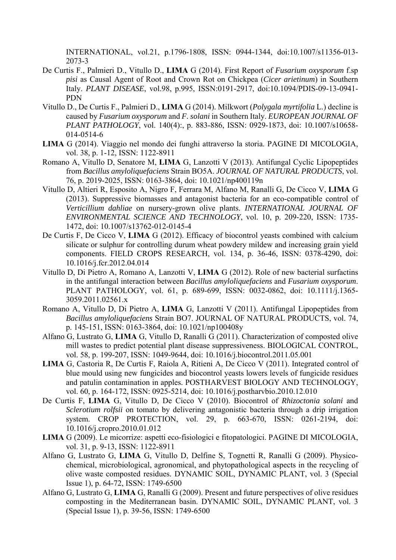INTERNATIONAL, vol.21, p.1796-1808, ISSN: 0944-1344, doi:10.1007/s11356-013- 2073-3

- De Curtis F., Palmieri D., Vitullo D., **LIMA** G (2014). First Report of *Fusarium oxysporum* f.sp *pisi* as Causal Agent of Root and Crown Rot on Chickpea (*Cicer arietinum*) in Southern Italy. *PLANT DISEASE*, vol.98, p.995, ISSN:0191-2917, doi:10.1094/PDIS-09-13-0941- PDN
- Vitullo D., De Curtis F., Palmieri D., **LIMA** G (2014). Milkwort (*Polygala myrtifolia* L.) decline is caused by *Fusarium oxysporum* and *F. solani* in Southern Italy. *EUROPEAN JOURNAL OF PLANT PATHOLOGY*, vol. 140(4):, p. 883-886, ISSN: 0929-1873, doi: 10.1007/s10658- 014-0514-6
- **LIMA** G (2014). Viaggio nel mondo dei funghi attraverso la storia. PAGINE DI MICOLOGIA, vol. 38, p. 1-12, ISSN: 1122-8911
- Romano A, Vitullo D, Senatore M, **LIMA** G, Lanzotti V (2013). Antifungal Cyclic Lipopeptides from *Bacillus amyloliquefaciens* Strain BO5A. *JOURNAL OF NATURAL PRODUCTS*, vol. 76, p. 2019-2025, ISSN: 0163-3864, doi: 10.1021/np400119n
- Vitullo D, Altieri R, Esposito A, Nigro F, Ferrara M, Alfano M, Ranalli G, De Cicco V, **LIMA** G (2013). Suppressive biomasses and antagonist bacteria for an eco-compatible control of *Verticillium dahliae* on nursery-grown olive plants. *INTERNATIONAL JOURNAL OF ENVIRONMENTAL SCIENCE AND TECHNOLOGY*, vol. 10, p. 209-220, ISSN: 1735- 1472, doi: 10.1007/s13762-012-0145-4
- De Curtis F, De Cicco V, **LIMA** G (2012). Efficacy of biocontrol yeasts combined with calcium silicate or sulphur for controlling durum wheat powdery mildew and increasing grain yield components. FIELD CROPS RESEARCH, vol. 134, p. 36-46, ISSN: 0378-4290, doi: 10.1016/j.fcr.2012.04.014
- Vitullo D, Di Pietro A, Romano A, Lanzotti V, **LIMA** G (2012). Role of new bacterial surfactins in the antifungal interaction between *Bacillus amyloliquefaciens* and *Fusarium oxysporum*. PLANT PATHOLOGY, vol. 61, p. 689-699, ISSN: 0032-0862, doi: 10.1111/j.1365- 3059.2011.02561.x
- Romano A, Vitullo D, Di Pietro A, **LIMA** G, Lanzotti V (2011). Antifungal Lipopeptides from *Bacillus amyloliquefaciens* Strain BO7. JOURNAL OF NATURAL PRODUCTS, vol. 74, p. 145-151, ISSN: 0163-3864, doi: 10.1021/np100408y
- Alfano G, Lustrato G, **LIMA** G, Vitullo D, Ranalli G (2011). Characterization of composted olive mill wastes to predict potential plant disease suppressiveness. BIOLOGICAL CONTROL, vol. 58, p. 199-207, ISSN: 1049-9644, doi: 10.1016/j.biocontrol.2011.05.001
- **LIMA** G, Castoria R, De Curtis F, Raiola A, Ritieni A, De Cicco V (2011). Integrated control of blue mould using new fungicides and biocontrol yeasts lowers levels of fungicide residues and patulin contamination in apples. POSTHARVEST BIOLOGY AND TECHNOLOGY, vol. 60, p. 164-172, ISSN: 0925-5214, doi: 10.1016/j.postharvbio.2010.12.010
- De Curtis F, **LIMA** G, Vitullo D, De Cicco V (2010). Biocontrol of *Rhizoctonia solani* and *Sclerotium rolfsii* on tomato by delivering antagonistic bacteria through a drip irrigation system. CROP PROTECTION, vol. 29, p. 663-670, ISSN: 0261-2194, doi: 10.1016/j.cropro.2010.01.012
- **LIMA** G (2009). Le micorrize: aspetti eco-fisiologici e fitopatologici. PAGINE DI MICOLOGIA, vol. 31, p. 9-13, ISSN: 1122-8911
- Alfano G, Lustrato G, **LIMA** G, Vitullo D, Delfine S, Tognetti R, Ranalli G (2009). Physicochemical, microbiological, agronomical, and phytopathological aspects in the recycling of olive waste composted residues. DYNAMIC SOIL, DYNAMIC PLANT, vol. 3 (Special Issue 1), p. 64-72, ISSN: 1749-6500
- Alfano G, Lustrato G, **LIMA** G, Ranalli G (2009). Present and future perspectives of olive residues composting in the Mediterranean basin. DYNAMIC SOIL, DYNAMIC PLANT, vol. 3 (Special Issue 1), p. 39-56, ISSN: 1749-6500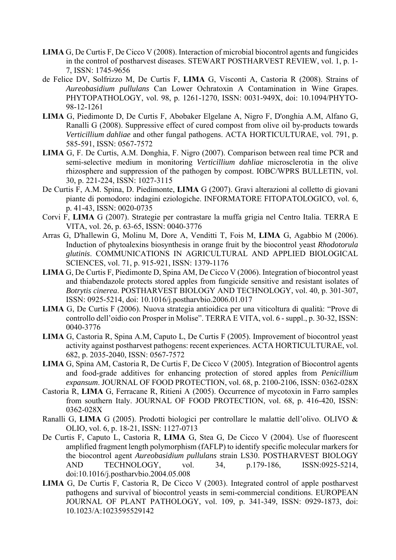- **LIMA** G, De Curtis F, De Cicco V (2008). Interaction of microbial biocontrol agents and fungicides in the control of postharvest diseases. STEWART POSTHARVEST REVIEW, vol. 1, p. 1- 7, ISSN: 1745-9656
- de Felice DV, Solfrizzo M, De Curtis F, **LIMA** G, Visconti A, Castoria R (2008). Strains of *Aureobasidium pullulans* Can Lower Ochratoxin A Contamination in Wine Grapes. PHYTOPATHOLOGY, vol. 98, p. 1261-1270, ISSN: 0031-949X, doi: 10.1094/PHYTO-98-12-1261
- **LIMA** G, Piedimonte D, De Curtis F, Abobaker Elgelane A, Nigro F, D'onghia A.M, Alfano G, Ranalli G (2008). Suppressive effect of cured compost from olive oil by-products towards *Verticillium dahliae* and other fungal pathogens. ACTA HORTICULTURAE, vol. 791, p. 585-591, ISSN: 0567-7572
- **LIMA** G, F. De Curtis, A.M. Donghia, F. Nigro (2007). Comparison between real time PCR and semi-selective medium in monitoring *Verticillium dahliae* microsclerotia in the olive rhizosphere and suppression of the pathogen by compost. IOBC/WPRS BULLETIN, vol. 30, p. 221-224, ISSN: 1027-3115
- De Curtis F, A.M. Spina, D. Piedimonte, **LIMA** G (2007). Gravi alterazioni al colletto di giovani piante di pomodoro: indagini eziologiche. INFORMATORE FITOPATOLOGICO, vol. 6, p. 41-43, ISSN: 0020-0735
- Corvi F, **LIMA** G (2007). Strategie per contrastare la muffa grigia nel Centro Italia. TERRA E VITA, vol. 26, p. 63-65, ISSN: 0040-3776
- Arras G, D'hallewin G, Molinu M, Dore A, Venditti T, Fois M, **LIMA** G, Agabbio M (2006). Induction of phytoalexins biosynthesis in orange fruit by the biocontrol yeast *Rhodotorula glutinis*. COMMUNICATIONS IN AGRICULTURAL AND APPLIED BIOLOGICAL SCIENCES, vol. 71, p. 915-921, ISSN: 1379-1176
- **LIMA** G, De Curtis F, Piedimonte D, Spina AM, De Cicco V (2006). Integration of biocontrol yeast and thiabendazole protects stored apples from fungicide sensitive and resistant isolates of *Botrytis cinerea*. POSTHARVEST BIOLOGY AND TECHNOLOGY, vol. 40, p. 301-307, ISSN: 0925-5214, doi: 10.1016/j.postharvbio.2006.01.017
- **LIMA** G, De Curtis F (2006). Nuova strategia antioidica per una viticoltura di qualità: "Prove di controllo dell'oidio con Prosper in Molise". TERRA E VITA, vol. 6 - suppl., p. 30-32, ISSN: 0040-3776
- **LIMA** G, Castoria R, Spina A.M, Caputo L, De Curtis F (2005). Improvement of biocontrol yeast activity against postharvest pathogens: recent experiences. ACTA HORTICULTURAE, vol. 682, p. 2035-2040, ISSN: 0567-7572
- **LIMA** G, Spina AM, Castoria R, De Curtis F, De Cicco V (2005). Integration of Biocontrol agents and food-grade additives for enhancing protection of stored apples from *Penicillium expansum*. JOURNAL OF FOOD PROTECTION, vol. 68, p. 2100-2106, ISSN: 0362-028X
- Castoria R, **LIMA** G, Ferracane R, Ritieni A (2005). Occurrence of mycotoxin in Farro samples from southern Italy. JOURNAL OF FOOD PROTECTION, vol. 68, p. 416-420, ISSN: 0362-028X
- Ranalli G, **LIMA** G (2005). Prodotti biologici per controllare le malattie dell'olivo. OLIVO & OLIO, vol. 6, p. 18-21, ISSN: 1127-0713
- De Curtis F, Caputo L, Castoria R, **LIMA** G, Stea G, De Cicco V (2004). Use of fluorescent amplified fragment length polymorphism (fAFLP) to identify specific molecular markers for the biocontrol agent *Aureobasidium pullulans* strain LS30. POSTHARVEST BIOLOGY AND TECHNOLOGY, vol. 34, p.179-186, ISSN:0925-5214, doi:10.1016/j.postharvbio.2004.05.008
- **LIMA** G, De Curtis F, Castoria R, De Cicco V (2003). Integrated control of apple postharvest pathogens and survival of biocontrol yeasts in semi-commercial conditions. EUROPEAN JOURNAL OF PLANT PATHOLOGY, vol. 109, p. 341-349, ISSN: 0929-1873, doi: 10.1023/A:1023595529142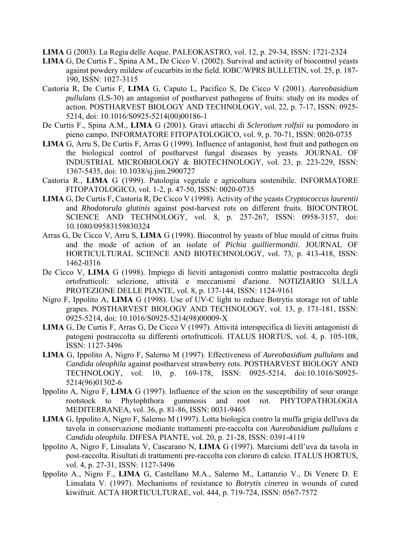**LIMA** G (2003). La Regia delle Acque. PALEOKASTRO, vol. 12, p. 29-34, ISSN: 1721-2324

- **LIMA** G, De Curtis F., Spina A.M., De Cicco V. (2002). Survival and activity of biocontrol yeasts against powdery mildew of cucurbits in the field. IOBC/WPRS BULLETIN, vol. 25, p. 187- 190, ISSN: 1027-3115
- Castoria R, De Curtis F, **LIMA** G, Caputo L, Pacifico S, De Cicco V (2001). *Aureobasidium pullulans* (LS-30) an antagonist of postharvest pathogens of fruits: study on its modes of action. POSTHARVEST BIOLOGY AND TECHNOLOGY, vol. 22, p. 7-17, ISSN: 0925- 5214, doi: 10.1016/S0925-5214(00)00186-1
- De Curtis F., Spina A.M., **LIMA** G (2001). Gravi attacchi di *Sclerotium rolfsii* su pomodoro in pieno campo. INFORMATORE FITOPATOLOGICO, vol. 9, p. 70-71, ISSN: 0020-0735
- **LIMA** G, Arru S, De Curtis F, Arras G (1999). Influence of antagonist, host fruit and pathogen on the biological control of postharvest fungal diseases by yeasts. JOURNAL OF INDUSTRIAL MICROBIOLOGY & BIOTECHNOLOGY, vol. 23, p. 223-229, ISSN: 1367-5435, doi: 10.1038/sj.jim.2900727
- Castoria R., **LIMA** G (1999). Patologia vegetale e agricoltura sostenibile. INFORMATORE FITOPATOLOGICO, vol. 1-2, p. 47-50, ISSN: 0020-0735
- **LIMA** G, De Curtis F, Castoria R, De Cicco V (1998). Activity of the yeasts *Cryptococcus laurentii* and *Rhodotorula glutinis* against post-harvest rots on different fruits. BIOCONTROL SCIENCE AND TECHNOLOGY, vol. 8, p. 257-267, ISSN: 0958-3157, doi: 10.1080/09583159830324
- Arras G, De Cicco V, Arru S, **LIMA** G (1998). Biocontrol by yeasts of blue mould of citrus fruits and the mode of action of an isolate of *Pichia guilliermondii*. JOURNAL OF HORTICULTURAL SCIENCE AND BIOTECHNOLOGY, vol. 73, p. 413-418, ISSN: 1462-0316
- De Cicco V, **LIMA** G (1998). Impiego di lieviti antagonisti contro malattie postraccolta degli ortofrutticoli: selezione, attività e meccanismi d'azione. NOTIZIARIO SULLA PROTEZIONE DELLE PIANTE, vol. 8, p. 137-144, ISSN: 1124-9161
- Nigro F, Ippolito A, **LIMA** G (1998). Use of UV-C light to reduce Botrytis storage rot of table grapes. POSTHARVEST BIOLOGY AND TECHNOLOGY, vol. 13, p. 171-181, ISSN: 0925-5214, doi: 10.1016/S0925-5214(98)00009-X
- **LIMA** G, De Curtis F, Arras G, De Cicco V (1997). Attività interspecifica di lieviti antagonisti di patogeni postraccolta su differenti ortofrutticoli. ITALUS HORTUS, vol. 4, p. 105-108, ISSN: 1127-3496
- **LIMA** G, Ippolito A, Nigro F, Salerno M (1997). Effectiveness of *Aureobasidium pullulans* and *Candida oleophila* against postharvest strawberry rots. POSTHARVEST BIOLOGY AND TECHNOLOGY, vol. 10, p. 169-178, ISSN: 0925-5214, doi:10.1016/S0925- 5214(96)01302-6
- Ippolito A, Nigro F, **LIMA** G (1997). Influence of the scion on the susceptibility of sour orange rootstock to Phytophthora gummosis and root rot. PHYTOPATHOLOGIA MEDITERRANEA, vol. 36, p. 81-86, ISSN: 0031-9465
- **LIMA** G, Ippolito A, Nigro F, Salerno M (1997). Lotta biologica contro la muffa grigia dell'uva da tavola in conservazione mediante trattamenti pre-raccolta con *Aureobasidium pullulans* e *Candida oleophila*. DIFESA PIANTE, vol. 20, p. 21-28, ISSN: 0391-4119
- Ippolito A, Nigro F, Linsalata V, Cascarano N, **LIMA** G (1997). Marciumi dell'uva da tavola in post-raccolta. Risultati di trattamenti pre-raccolta con cloruro di calcio. ITALUS HORTUS, vol. 4, p. 27-31, ISSN: 1127-3496
- Ippolito A., Nigro F., **LIMA** G, Castellano M.A., Salerno M., Lattanzio V., Di Venere D. E Linsalata V. (1997). Mechanisms of resistance to *Botrytis cinerea* in wounds of cured kiwifruit. ACTA HORTICULTURAE, vol. 444, p. 719-724, ISSN: 0567-7572